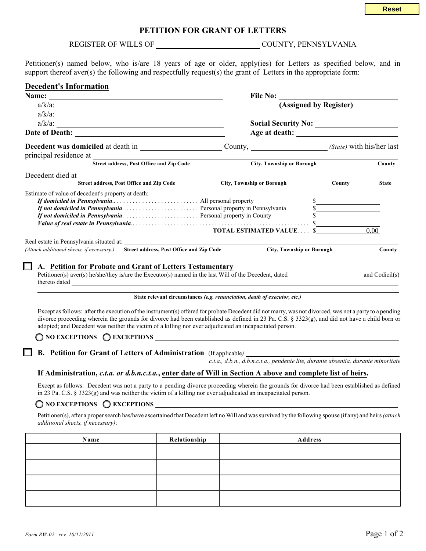## **PETITION FOR GRANT OF LETTERS**

|                                                                                                                                                                                                                                                                                                                                                                                                                            |                                                                           | <b>Reset</b>             |
|----------------------------------------------------------------------------------------------------------------------------------------------------------------------------------------------------------------------------------------------------------------------------------------------------------------------------------------------------------------------------------------------------------------------------|---------------------------------------------------------------------------|--------------------------|
|                                                                                                                                                                                                                                                                                                                                                                                                                            | PETITION FOR GRANT OF LETTERS                                             |                          |
|                                                                                                                                                                                                                                                                                                                                                                                                                            |                                                                           |                          |
| Petitioner(s) named below, who is/are 18 years of age or older, apply(ies) for Letters as specified below, and in<br>support thereof aver(s) the following and respectfully request(s) the grant of Letters in the appropriate form:                                                                                                                                                                                       |                                                                           |                          |
| <b>Decedent's Information</b>                                                                                                                                                                                                                                                                                                                                                                                              |                                                                           | File No: $\qquad \qquad$ |
| $a/k/a$ :<br>$a/k/a$ :                                                                                                                                                                                                                                                                                                                                                                                                     |                                                                           | (Assigned by Register)   |
|                                                                                                                                                                                                                                                                                                                                                                                                                            |                                                                           | Age at death:            |
|                                                                                                                                                                                                                                                                                                                                                                                                                            |                                                                           |                          |
| Street address, Post Office and Zip Code                                                                                                                                                                                                                                                                                                                                                                                   | <b>City, Township or Borough</b>                                          | County                   |
| Street address, Post Office and Zip Code                                                                                                                                                                                                                                                                                                                                                                                   | <b>City, Township or Borough</b>                                          | County<br><b>State</b>   |
| Estimate of value of decedent's property at death:                                                                                                                                                                                                                                                                                                                                                                         | <b>TOTAL ESTIMATED VALUE \$</b>                                           | s<br>0.00                |
| Real estate in Pennsylvania situated at:                                                                                                                                                                                                                                                                                                                                                                                   |                                                                           |                          |
| (Attach additional sheets, if necessary.)<br>Street address, Post Office and Zip Code                                                                                                                                                                                                                                                                                                                                      | <b>City, Township or Borough</b>                                          | County                   |
| A. Petition for Probate and Grant of Letters Testamentary<br>Petitioner(s) aver(s) he/she/they is/are the Executor(s) named in the last Will of the Decedent, dated and Codicil(s)<br>thereto dated <b>and the contract of the contract of the contract of the contract of the contract of the contract of the contract of the contract of the contract of the contract of the contract of the contract of the contrac</b> |                                                                           |                          |
|                                                                                                                                                                                                                                                                                                                                                                                                                            | State relevant circumstances (e.g. renunciation, death of executor, etc.) |                          |

Except as follows: after the execution of the instrument(s) offered for probate Decedent did not marry, was not divorced, was not a party to a pending divorce proceeding wherein the grounds for divorce had been established as defined in 23 Pa. C.S. § 3323(g), and did not have a child born or adopted; and Decedent was neither the victim of a killing nor ever adjudicated an incapacitated person.

**O** NO EXCEPTIONS **Q** EXCEPTIONS

**B. Petition for Grant of Letters of Administration** (If applicable*)* 

*c.t.a., d.b.n., d.b.n.c.t.a., pendente lite, durante absentia, durante minoritate*

#### **If Administration,** *c.t.a. or d.b.n.c.t.a.***, enter date of Will in Section A above and complete list of heirs.**

Except as follows: Decedent was not a party to a pending divorce proceeding wherein the grounds for divorce had been established as defined in 23 Pa. C.S.  $\S 3323(g)$  and was neither the victim of a killing nor ever adjudicated an incapacitated person.

## **O** NO EXCEPTIONS **O** EXCEPTIONS

Petitioner(s), after a proper search has/have ascertained that Decedent left no Will and was survived by the following spouse (if any) and heirs *(attach additional sheets, if necessary)*:

| Name | Relationship | Address |
|------|--------------|---------|
|      |              |         |
|      |              |         |
|      |              |         |
|      |              |         |